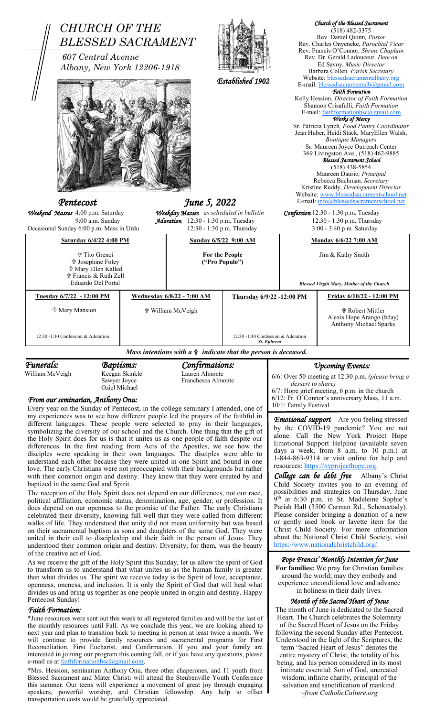

different languages. These people were selected to pray in their languages,

symbolizing the diversity of our school and the Church. One thing that the gift of the Holy Spirit does for us is that it unites us as one people of faith despite our differences. In the first reading from Acts of the Apostles, we see how the disciples were speaking in their own languages. The disciples were able to understand each other because they were united in one Spirit and bound in one love. The early Christians were not preoccupied with their backgrounds but rather with their common origin and destiny. They knew that they were created by and baptized in the same God and Spirit.

The reception of the Holy Spirit does not depend on our differences, not our race, political affiliation, economic status, denomination, age, gender, or profession. It does depend on our openness to the promise of the Father. The early Christians celebrated their diversity, knowing full well that they were called from different walks of life. They understood that unity did not mean uniformity but was based on their sacramental baptism as sons and daughters of the same God. They were united in their call to discipleship and their faith in the person of Jesus. They understood their common origin and destiny. Diversity, for them, was the beauty of the creative act of God.

As we receive the gift of the Holy Spirit this Sunday, let us allow the spirit of God to transform us to understand that what unites us as the human family is greater than what divides us. The spirit we receive today is the Spirit of love, acceptance, openness, oneness, and inclusion. It is only the Spirit of God that will heal what divides us and bring us together as one people united in origin and destiny. Happy Pentecost Sunday!

# *Faith Formation:*

\*June resources were sent out this week to all registered families and will be the last of the monthly resources until Fall. As we conclude this year, we are looking ahead to next year and plan to transition back to meeting in person at least twice a month. We will continue to provide family resources and sacramental programs for First Reconciliation, First Eucharist, and Confirmation. If you and your family are interested in joining our program this coming fall, or if you have any questions, please e-mail us at **faithformationbsc@gmail.com**.

\*Mrs. Hession, seminarian Anthony Onu, three other chaperones, and 11 youth from Blessed Sacrament and Mater Christi will attend the Steubenville Youth Conference this summer. Our teens will experience a movement of great joy through engaging speakers, powerful worship, and Christian fellowship. Any help to offset transportation costs would be gratefully appreciated.

Please consider bringing a donation of a new or gently used book or layette item for the Christ Child Society. For more information about the National Christ Child Society, visit

by the COVID-19 pandemic? You are not alone. Call the New York Project Hope Emotional Support Helpline (available seven days a week, from 8 a.m. to 10 p.m.) at 1-844-863-9314 or visit online for help and

*College can be debt free* Albany's Christ Child Society invites you to an evening of possibilities and strategies on Thursday, June 9<sup>th</sup> at 6:30 p.m. in St. Madeleine Sophie's Parish Hall (3500 Carman Rd., Schenectady).

resources: [https://nyprojecthope.org.](https://nyprojecthope.org/)

#### *Pope Francis' Monthly Intention for June*

//www.nationalchristchild.org/

**For families:** We pray for Christian families around the world; may they embody and experience unconditional love and advance in holiness in their daily lives.

#### *Month of the Sacred Heart of Jesus*

The month of June is dedicated to the Sacred Heart. The Church celebrates the Solemnity of the Sacred Heart of Jesus on the Friday following the second Sunday after Pentecost. Understood in the light of the Scriptures, the term "Sacred Heart of Jesus" denotes the entire mystery of Christ, the totality of his being, and his person considered in its most intimate essential: Son of God, uncreated wisdom; infinite charity, principal of the salvation and sanctification of mankind. *~from CatholicCulture.org*